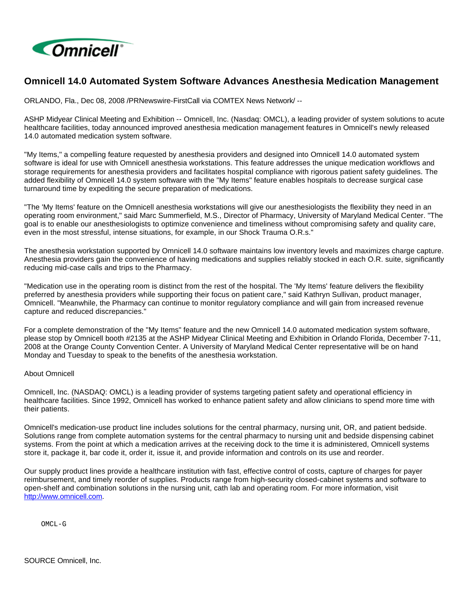

## **Omnicell 14.0 Automated System Software Advances Anesthesia Medication Management**

ORLANDO, Fla., Dec 08, 2008 /PRNewswire-FirstCall via COMTEX News Network/ --

ASHP Midyear Clinical Meeting and Exhibition -- Omnicell, Inc. (Nasdaq: OMCL), a leading provider of system solutions to acute healthcare facilities, today announced improved anesthesia medication management features in Omnicell's newly released 14.0 automated medication system software.

"My Items," a compelling feature requested by anesthesia providers and designed into Omnicell 14.0 automated system software is ideal for use with Omnicell anesthesia workstations. This feature addresses the unique medication workflows and storage requirements for anesthesia providers and facilitates hospital compliance with rigorous patient safety guidelines. The added flexibility of Omnicell 14.0 system software with the "My Items" feature enables hospitals to decrease surgical case turnaround time by expediting the secure preparation of medications.

"The 'My Items' feature on the Omnicell anesthesia workstations will give our anesthesiologists the flexibility they need in an operating room environment," said Marc Summerfield, M.S., Director of Pharmacy, University of Maryland Medical Center. "The goal is to enable our anesthesiologists to optimize convenience and timeliness without compromising safety and quality care, even in the most stressful, intense situations, for example, in our Shock Trauma O.R.s."

The anesthesia workstation supported by Omnicell 14.0 software maintains low inventory levels and maximizes charge capture. Anesthesia providers gain the convenience of having medications and supplies reliably stocked in each O.R. suite, significantly reducing mid-case calls and trips to the Pharmacy.

"Medication use in the operating room is distinct from the rest of the hospital. The 'My Items' feature delivers the flexibility preferred by anesthesia providers while supporting their focus on patient care," said Kathryn Sullivan, product manager, Omnicell. "Meanwhile, the Pharmacy can continue to monitor regulatory compliance and will gain from increased revenue capture and reduced discrepancies."

For a complete demonstration of the "My Items" feature and the new Omnicell 14.0 automated medication system software, please stop by Omnicell booth #2135 at the ASHP Midyear Clinical Meeting and Exhibition in Orlando Florida, December 7-11, 2008 at the Orange County Convention Center. A University of Maryland Medical Center representative will be on hand Monday and Tuesday to speak to the benefits of the anesthesia workstation.

## About Omnicell

Omnicell, Inc. (NASDAQ: OMCL) is a leading provider of systems targeting patient safety and operational efficiency in healthcare facilities. Since 1992, Omnicell has worked to enhance patient safety and allow clinicians to spend more time with their patients.

Omnicell's medication-use product line includes solutions for the central pharmacy, nursing unit, OR, and patient bedside. Solutions range from complete automation systems for the central pharmacy to nursing unit and bedside dispensing cabinet systems. From the point at which a medication arrives at the receiving dock to the time it is administered, Omnicell systems store it, package it, bar code it, order it, issue it, and provide information and controls on its use and reorder.

Our supply product lines provide a healthcare institution with fast, effective control of costs, capture of charges for payer reimbursement, and timely reorder of supplies. Products range from high-security closed-cabinet systems and software to open-shelf and combination solutions in the nursing unit, cath lab and operating room. For more information, visit [http://www.omnicell.com.](http://www.omnicell.com/)

OMCL-G

SOURCE Omnicell, Inc.